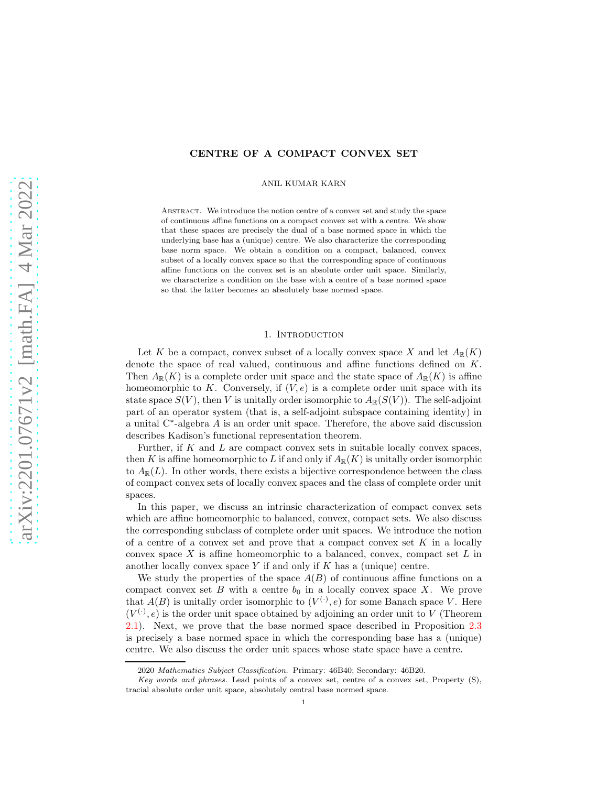# CENTRE OF A COMPACT CONVEX SET

ANIL KUMAR KARN

Abstract. We introduce the notion centre of a convex set and study the space of continuous affine functions on a compact convex set with a centre. We show that these spaces are precisely the dual of a base normed space in which the underlying base has a (unique) centre. We also characterize the corresponding base norm space. We obtain a condition on a compact, balanced, convex subset of a locally convex space so that the corresponding space of continuous affine functions on the convex set is an absolute order unit space. Similarly, we characterize a condition on the base with a centre of a base normed space so that the latter becomes an absolutely base normed space.

#### 1. INTRODUCTION

Let K be a compact, convex subset of a locally convex space X and let  $A_{\mathbb{R}}(K)$ denote the space of real valued, continuous and affine functions defined on K. Then  $A_{\mathbb{R}}(K)$  is a complete order unit space and the state space of  $A_{\mathbb{R}}(K)$  is affine homeomorphic to K. Conversely, if  $(V, e)$  is a complete order unit space with its state space  $S(V)$ , then V is unitally order isomorphic to  $A_{\mathbb{R}}(S(V))$ . The self-adjoint part of an operator system (that is, a self-adjoint subspace containing identity) in a unital C<sup>∗</sup> -algebra A is an order unit space. Therefore, the above said discussion describes Kadison's functional representation theorem.

Further, if  $K$  and  $L$  are compact convex sets in suitable locally convex spaces, then K is affine homeomorphic to L if and only if  $A_{\mathbb{R}}(K)$  is unitally order isomorphic to  $A_{\mathbb{R}}(L)$ . In other words, there exists a bijective correspondence between the class of compact convex sets of locally convex spaces and the class of complete order unit spaces.

In this paper, we discuss an intrinsic characterization of compact convex sets which are affine homeomorphic to balanced, convex, compact sets. We also discuss the corresponding subclass of complete order unit spaces. We introduce the notion of a centre of a convex set and prove that a compact convex set  $K$  in a locally convex space X is affine homeomorphic to a balanced, convex, compact set  $L$  in another locally convex space  $Y$  if and only if  $K$  has a (unique) centre.

We study the properties of the space  $A(B)$  of continuous affine functions on a compact convex set  $B$  with a centre  $b_0$  in a locally convex space  $X$ . We prove that  $A(B)$  is unitally order isomorphic to  $(V^{(.)}, e)$  for some Banach space V. Here  $(V^{(.)}, e)$  is the order unit space obtained by adjoining an order unit to V (Theorem [2.1\)](#page-1-0). Next, we prove that the base normed space described in Proposition [2.3](#page-2-0) is precisely a base normed space in which the corresponding base has a (unique) centre. We also discuss the order unit spaces whose state space have a centre.

<sup>2020</sup> Mathematics Subject Classification. Primary: 46B40; Secondary: 46B20.

Key words and phrases. Lead points of a convex set, centre of a convex set, Property (S), tracial absolute order unit space, absolutely central base normed space.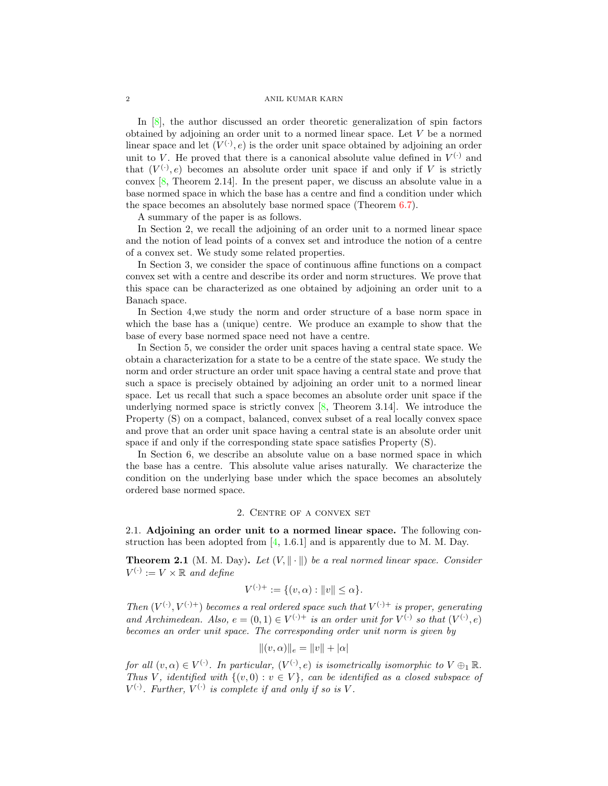#### 2 ANIL KUMAR KARN

In [\[8\]](#page-15-0), the author discussed an order theoretic generalization of spin factors obtained by adjoining an order unit to a normed linear space. Let V be a normed linear space and let  $(V^{(.)}, e)$  is the order unit space obtained by adjoining an order unit to V. He proved that there is a canonical absolute value defined in  $V^{(\cdot)}$  and that  $(V^{(.)}, e)$  becomes an absolute order unit space if and only if V is strictly convex [\[8,](#page-15-0) Theorem 2.14]. In the present paper, we discuss an absolute value in a base normed space in which the base has a centre and find a condition under which the space becomes an absolutely base normed space (Theorem [6.7\)](#page-13-0).

A summary of the paper is as follows.

In Section 2, we recall the adjoining of an order unit to a normed linear space and the notion of lead points of a convex set and introduce the notion of a centre of a convex set. We study some related properties.

In Section 3, we consider the space of continuous affine functions on a compact convex set with a centre and describe its order and norm structures. We prove that this space can be characterized as one obtained by adjoining an order unit to a Banach space.

In Section 4,we study the norm and order structure of a base norm space in which the base has a (unique) centre. We produce an example to show that the base of every base normed space need not have a centre.

In Section 5, we consider the order unit spaces having a central state space. We obtain a characterization for a state to be a centre of the state space. We study the norm and order structure an order unit space having a central state and prove that such a space is precisely obtained by adjoining an order unit to a normed linear space. Let us recall that such a space becomes an absolute order unit space if the underlying normed space is strictly convex  $[8,$  Theorem 3.14]. We introduce the Property (S) on a compact, balanced, convex subset of a real locally convex space and prove that an order unit space having a central state is an absolute order unit space if and only if the corresponding state space satisfies Property (S).

In Section 6, we describe an absolute value on a base normed space in which the base has a centre. This absolute value arises naturally. We characterize the condition on the underlying base under which the space becomes an absolutely ordered base normed space.

# 2. Centre of a convex set

2.1. Adjoining an order unit to a normed linear space. The following construction has been adopted from [\[4,](#page-15-1) 1.6.1] and is apparently due to M. M. Day.

<span id="page-1-0"></span>**Theorem 2.1** (M. M. Day). Let  $(V, \|\cdot\|)$  be a real normed linear space. Consider  $V^{(\cdot)} := V \times \mathbb{R}$  and define

$$
V^{(\cdot)+} := \{(v, \alpha) : ||v|| \le \alpha\}.
$$

Then  $(V^{(\cdot)}, V^{(\cdot)+})$  becomes a real ordered space such that  $V^{(\cdot)+}$  is proper, generating and Archimedean. Also,  $e = (0, 1) \in V^{(\cdot)+}$  is an order unit for  $V^{(\cdot)}$  so that  $(V^{(\cdot)}, e)$ becomes an order unit space. The corresponding order unit norm is given by

$$
|| (v, \alpha)||_e = ||v|| + |\alpha|
$$

for all  $(v, \alpha) \in V^{(\cdot)}$ . In particular,  $(V^{(\cdot)}, e)$  is isometrically isomorphic to  $V \oplus_1 \mathbb{R}$ . Thus V, identified with  $\{(v, 0) : v \in V\}$ , can be identified as a closed subspace of  $V^{(\cdot)}$ . Further,  $V^{(\cdot)}$  is complete if and only if so is V.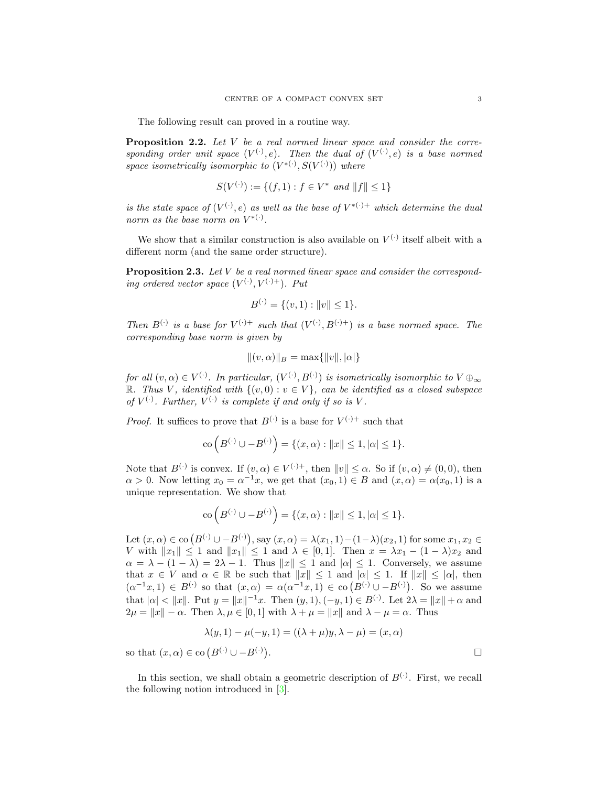The following result can proved in a routine way.

Proposition 2.2. Let V be a real normed linear space and consider the corresponding order unit space  $(V^{(\cdot)}, e)$ . Then the dual of  $(V^{(\cdot)}, e)$  is a base normed space isometrically isomorphic to  $(V^{*(.)}, S(V^{(.)}))$  where

$$
S(V^{(\cdot)}): = \{(f, 1) : f \in V^* \text{ and } ||f|| \le 1\}
$$

is the state space of  $(V^{(\cdot)}, e)$  as well as the base of  $V^{*(\cdot)+}$  which determine the dual norm as the base norm on  $V^{*(.)}$ .

We show that a similar construction is also available on  $V^{(\cdot)}$  itself albeit with a different norm (and the same order structure).

<span id="page-2-0"></span>**Proposition 2.3.** Let  $V$  be a real normed linear space and consider the corresponding ordered vector space  $(V^{(\cdot)}, V^{(\cdot)+})$ . Put

$$
B^{(\cdot)} = \{ (v, 1) : ||v|| \le 1 \}.
$$

Then  $B^{(\cdot)}$  is a base for  $V^{(\cdot)+}$  such that  $(V^{(\cdot)}, B^{(\cdot)+})$  is a base normed space. The corresponding base norm is given by

$$
\|(v,\alpha)\|_B = \max\{\|v\|,|\alpha|\}
$$

for all  $(v, \alpha) \in V^{(\cdot)}$ . In particular,  $(V^{(\cdot)}, B^{(\cdot)})$  is isometrically isomorphic to  $V \oplus_{\infty}$ R. Thus V, identified with  $\{(v, 0) : v \in V\}$ , can be identified as a closed subspace of  $V^{(\cdot)}$ . Further,  $V^{(\cdot)}$  is complete if and only if so is V.

*Proof.* It suffices to prove that  $B^{(\cdot)}$  is a base for  $V^{(\cdot)+}$  such that

$$
\text{co}\left(B^{(\cdot)} \cup -B^{(\cdot)}\right) = \{(x, \alpha) : ||x|| \le 1, |\alpha| \le 1\}.
$$

Note that  $B^{(\cdot)}$  is convex. If  $(v, \alpha) \in V^{(\cdot)+}$ , then  $||v|| \leq \alpha$ . So if  $(v, \alpha) \neq (0, 0)$ , then  $\alpha > 0$ . Now letting  $x_0 = \alpha^{-1}x$ , we get that  $(x_0, 1) \in B$  and  $(x, \alpha) = \alpha(x_0, 1)$  is a unique representation. We show that

$$
\text{co}\left(B^{(\cdot)} \cup -B^{(\cdot)}\right) = \{(x, \alpha) : ||x|| \le 1, |\alpha| \le 1\}.
$$

Let  $(x, \alpha) \in$  co  $(B^{(\cdot)} \cup -B^{(\cdot)})$ , say  $(x, \alpha) = \lambda(x_1, 1) - (1 - \lambda)(x_2, 1)$  for some  $x_1, x_2 \in$ V with  $||x_1|| \leq 1$  and  $||x_1|| \leq 1$  and  $\lambda \in [0, 1]$ . Then  $x = \lambda x_1 - (1 - \lambda)x_2$  and  $\alpha = \lambda - (1 - \lambda) = 2\lambda - 1$ . Thus  $||x|| \le 1$  and  $|\alpha| \le 1$ . Conversely, we assume that  $x \in V$  and  $\alpha \in \mathbb{R}$  be such that  $||x|| \leq 1$  and  $|\alpha| \leq 1$ . If  $||x|| \leq |\alpha|$ , then  $(\alpha^{-1}x, 1) \in B^{(\cdot)}$  so that  $(x, \alpha) = \alpha(\alpha^{-1}x, 1) \in {\rm co}(B^{(\cdot)} \cup -B^{(\cdot)})$ . So we assume that  $|\alpha| < ||x||$ . Put  $y = ||x||^{-1}x$ . Then  $(y, 1), (-y, 1) \in B^{(\cdot)}$ . Let  $2\lambda = ||x|| + \alpha$  and  $2\mu = ||x|| - \alpha$ . Then  $\lambda, \mu \in [0, 1]$  with  $\lambda + \mu = ||x||$  and  $\lambda - \mu = \alpha$ . Thus

$$
\lambda(y,1) - \mu(-y,1) = ((\lambda + \mu)y, \lambda - \mu) = (x, \alpha)
$$

so that  $(x, \alpha) \in$  co  $(B^{(\cdot)} \cup -B^{(\cdot)})$ 

In this section, we shall obtain a geometric description of  $B^{(\cdot)}$ . First, we recall the following notion introduced in [\[3\]](#page-15-2).

. В последните последните последните последните последните последните последните последните последните последн<br>В последните последните последните последните последните последните последните последните последните последнит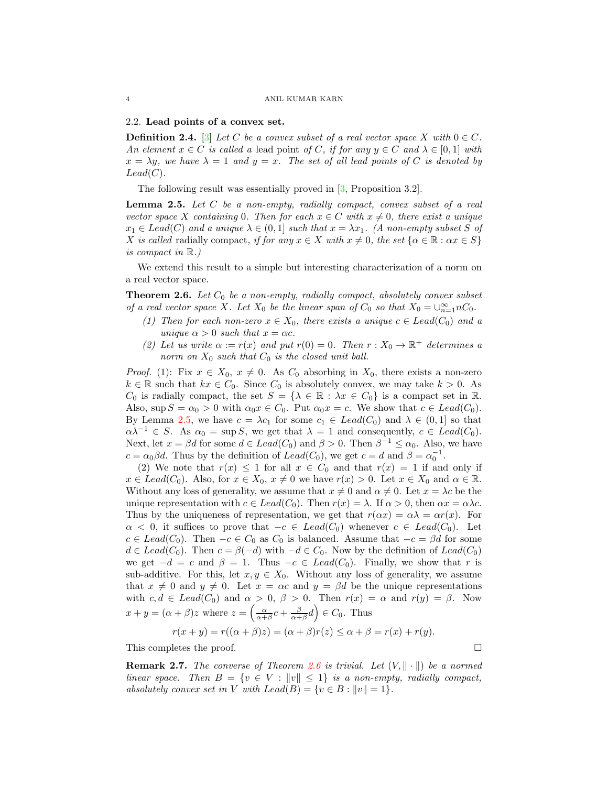#### 2.2. Lead points of a convex set.

**Definition 2.4.** [\[3\]](#page-15-2) Let C be a convex subset of a real vector space X with  $0 \in C$ . An element  $x \in C$  is called a lead point of C, if for any  $y \in C$  and  $\lambda \in [0, 1]$  with  $x = \lambda y$ , we have  $\lambda = 1$  and  $y = x$ . The set of all lead points of C is denoted by  $Lead(C).$ 

The following result was essentially proved in [\[3,](#page-15-2) Proposition 3.2].

<span id="page-3-0"></span>**Lemma 2.5.** Let  $C$  be a non-empty, radially compact, convex subset of a real vector space X containing 0. Then for each  $x \in C$  with  $x \neq 0$ , there exist a unique  $x_1 \in \text{Lead}(C)$  and a unique  $\lambda \in (0,1]$  such that  $x = \lambda x_1$ . (A non-empty subset S of X is called radially compact, if for any  $x \in X$  with  $x \neq 0$ , the set  $\{\alpha \in \mathbb{R} : \alpha x \in S\}$ is compact in R.)

We extend this result to a simple but interesting characterization of a norm on a real vector space.

<span id="page-3-1"></span>**Theorem 2.6.** Let  $C_0$  be a non-empty, radially compact, absolutely convex subset of a real vector space X. Let  $X_0$  be the linear span of  $C_0$  so that  $X_0 = \bigcup_{n=1}^{\infty} nC_0$ .

- (1) Then for each non-zero  $x \in X_0$ , there exists a unique  $c \in Lead(C_0)$  and a unique  $\alpha > 0$  such that  $x = \alpha c$ .
- (2) Let us write  $\alpha := r(x)$  and put  $r(0) = 0$ . Then  $r : X_0 \to \mathbb{R}^+$  determines a norm on  $X_0$  such that  $C_0$  is the closed unit ball.

*Proof.* (1): Fix  $x \in X_0$ ,  $x \neq 0$ . As  $C_0$  absorbing in  $X_0$ , there exists a non-zero  $k \in \mathbb{R}$  such that  $kx \in C_0$ . Since  $C_0$  is absolutely convex, we may take  $k > 0$ . As  $C_0$  is radially compact, the set  $S = {\lambda \in \mathbb{R} : \lambda x \in C_0}$  is a compact set in  $\mathbb{R}$ . Also,  $\sup S = \alpha_0 > 0$  with  $\alpha_0 x \in C_0$ . Put  $\alpha_0 x = c$ . We show that  $c \in \text{Leaf}(C_0)$ . By Lemma [2.5,](#page-3-0) we have  $c = \lambda c_1$  for some  $c_1 \in \text{Leaf}(C_0)$  and  $\lambda \in (0,1]$  so that  $\alpha \lambda^{-1} \in S$ . As  $\alpha_0 = \sup S$ , we get that  $\lambda = 1$  and consequently,  $c \in \text{Lead}(C_0)$ . Next, let  $x = \beta d$  for some  $d \in Lead(C_0)$  and  $\beta > 0$ . Then  $\beta^{-1} \leq \alpha_0$ . Also, we have  $c = \alpha_0 \beta d$ . Thus by the definition of  $Lead(C_0)$ , we get  $c = d$  and  $\beta = \alpha_0^{-1}$ .

(2) We note that  $r(x) \leq 1$  for all  $x \in C_0$  and that  $r(x) = 1$  if and only if  $x \in \text{Lead}(C_0)$ . Also, for  $x \in X_0$ ,  $x \neq 0$  we have  $r(x) > 0$ . Let  $x \in X_0$  and  $\alpha \in \mathbb{R}$ . Without any loss of generality, we assume that  $x \neq 0$  and  $\alpha \neq 0$ . Let  $x = \lambda c$  be the unique representation with  $c \in Lead(C_0)$ . Then  $r(x) = \lambda$ . If  $\alpha > 0$ , then  $\alpha x = \alpha \lambda c$ . Thus by the uniqueness of representation, we get that  $r(\alpha x) = \alpha \lambda = \alpha r(x)$ . For  $\alpha < 0$ , it suffices to prove that  $-c \in \text{Lead}(C_0)$  whenever  $c \in \text{Lead}(C_0)$ . Let  $c \in Lead(C_0)$ . Then  $-c \in C_0$  as  $C_0$  is balanced. Assume that  $-c = \beta d$  for some  $d \in \text{Lead}(C_0)$ . Then  $c = \beta(-d)$  with  $-d \in C_0$ . Now by the definition of  $\text{Lead}(C_0)$ we get  $-d = c$  and  $\beta = 1$ . Thus  $-c \in \text{Lead}(C_0)$ . Finally, we show that r is sub-additive. For this, let  $x, y \in X_0$ . Without any loss of generality, we assume that  $x \neq 0$  and  $y \neq 0$ . Let  $x = \alpha c$  and  $y = \beta d$  be the unique representations with  $c, d \in \text{Lead}(C_0)$  and  $\alpha > 0, \beta > 0$ . Then  $r(x) = \alpha$  and  $r(y) = \beta$ . Now  $x + y = (\alpha + \beta)z$  where  $z = \left(\frac{\alpha}{\alpha + \beta}c + \frac{\beta}{\alpha + \beta}d\right) \in C_0$ . Thus

$$
r(x + y) = r((\alpha + \beta)z) = (\alpha + \beta)r(z) \le \alpha + \beta = r(x) + r(y).
$$

This completes the proof.

**Remark 2.7.** The converse of Theorem [2.6](#page-3-1) is trivial. Let  $(V, \|\cdot\|)$  be a normed linear space. Then  $B = \{v \in V : ||v|| \leq 1\}$  is a non-empty, radially compact, absolutely convex set in V with  $Lead(B) = \{v \in B : ||v|| = 1\}.$ 

$$
\Box
$$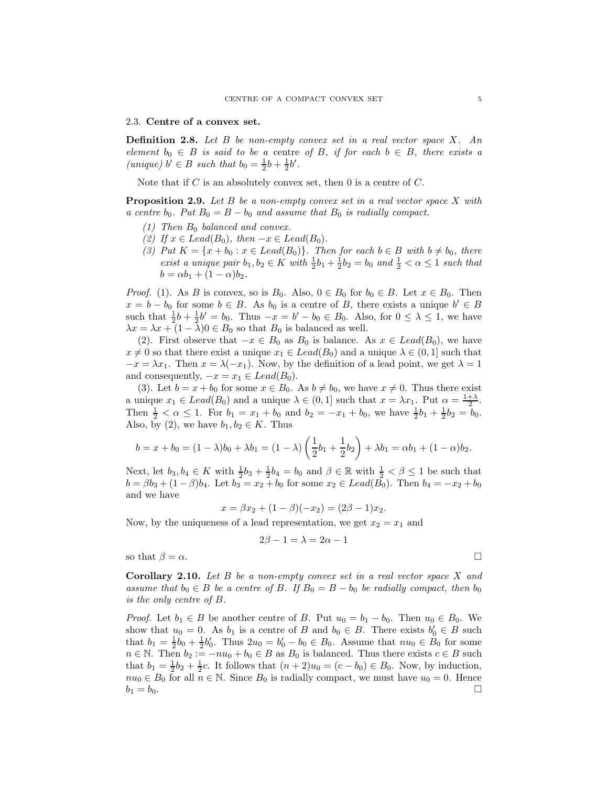#### 2.3. Centre of a convex set.

**Definition 2.8.** Let  $B$  be non-empty convex set in a real vector space  $X$ . An element  $b_0 \in B$  is said to be a centre of B, if for each  $b \in B$ , there exists a (unique)  $b' \in B$  such that  $b_0 = \frac{1}{2}b + \frac{1}{2}b'$ .

Note that if  $C$  is an absolutely convex set, then  $0$  is a centre of  $C$ .

<span id="page-4-0"></span>**Proposition 2.9.** Let  $B$  be a non-empty convex set in a real vector space  $X$  with a centre  $b_0$ . Put  $B_0 = B - b_0$  and assume that  $B_0$  is radially compact.

- $(1)$  Then  $B_0$  balanced and convex.
- (2) If  $x \in Lead(B_0)$ , then  $-x \in Lead(B_0)$ .
- (3) Put  $K = \{x + b_0 : x \in \text{Lead}(B_0)\}\.$  Then for each  $b \in B$  with  $b \neq b_0$ , there exist a unique pair  $b_1, b_2 \in K$  with  $\frac{1}{2}b_1 + \frac{1}{2}b_2 = b_0$  and  $\frac{1}{2} < \alpha \leq 1$  such that  $b = \alpha b_1 + (1 - \alpha) b_2.$

*Proof.* (1). As B is convex, so is  $B_0$ . Also,  $0 \in B_0$  for  $b_0 \in B$ . Let  $x \in B_0$ . Then  $x = b - b_0$  for some  $b \in B$ . As  $b_0$  is a centre of B, there exists a unique  $b' \in B$ such that  $\frac{1}{2}b + \frac{1}{2}b' = b_0$ . Thus  $-x = b' - b_0 \in B_0$ . Also, for  $0 \leq \lambda \leq 1$ , we have  $\lambda x = \lambda x + (1 - \overline{\lambda})0 \in B_0$  so that  $B_0$  is balanced as well.

(2). First observe that  $-x \in B_0$  as  $B_0$  is balance. As  $x \in \text{Lead}(B_0)$ , we have  $x \neq 0$  so that there exist a unique  $x_1 \in Lead(B_0)$  and a unique  $\lambda \in (0, 1]$  such that  $-x = \lambda x_1$ . Then  $x = \lambda(-x_1)$ . Now, by the definition of a lead point, we get  $\lambda = 1$ and consequently,  $-x = x_1 \in \text{Lead}(B_0)$ .

(3). Let  $b = x + b_0$  for some  $x \in B_0$ . As  $b \neq b_0$ , we have  $x \neq 0$ . Thus there exist a unique  $x_1 \in \text{Leaf}(B_0)$  and a unique  $\lambda \in (0,1]$  such that  $x = \lambda x_1$ . Put  $\alpha = \frac{1+\lambda}{2}$ . Then  $\frac{1}{2} < \alpha \le 1$ . For  $b_1 = x_1 + b_0$  and  $b_2 = -x_1 + b_0$ , we have  $\frac{1}{2}b_1 + \frac{1}{2}b_2 = b_0$ . Also, by (2), we have  $b_1, b_2 \in K$ . Thus

$$
b = x + b_0 = (1 - \lambda)b_0 + \lambda b_1 = (1 - \lambda)\left(\frac{1}{2}b_1 + \frac{1}{2}b_2\right) + \lambda b_1 = \alpha b_1 + (1 - \alpha)b_2.
$$

Next, let  $b_3, b_4 \in K$  with  $\frac{1}{2}b_3 + \frac{1}{2}b_4 = b_0$  and  $\beta \in \mathbb{R}$  with  $\frac{1}{2} < \beta \le 1$  be such that  $b = \beta b_3 + (1 - \beta) b_4$ . Let  $b_3 = x_2 + b_0$  for some  $x_2 \in \text{Leaf}(\overline{B_0})$ . Then  $b_4 = -x_2 + b_0$ and we have

$$
x = \beta x_2 + (1 - \beta)(-x_2) = (2\beta - 1)x_2.
$$

Now, by the uniqueness of a lead representation, we get  $x_2 = x_1$  and

$$
2\beta - 1 = \lambda = 2\alpha - 1
$$

so that  $\beta = \alpha$ .

Corollary 2.10. Let B be a non-empty convex set in a real vector space X and assume that  $b_0 \in B$  be a centre of B. If  $B_0 = B - b_0$  be radially compact, then  $b_0$ is the only centre of B.

*Proof.* Let  $b_1 \in B$  be another centre of B. Put  $u_0 = b_1 - b_0$ . Then  $u_0 \in B_0$ . We show that  $u_0 = 0$ . As  $b_1$  is a centre of B and  $b_0 \in B$ . There exists  $b'_0 \in B$  such that  $b_1 = \frac{1}{2}b_0 + \frac{1}{2}b'_0$ . Thus  $2u_0 = b'_0 - b_0 \in B_0$ . Assume that  $nu_0 \in B_0$  for some  $n \in \mathbb{N}$ . Then  $b_2 := -nu_0 + b_0 \in B$  as  $B_0$  is balanced. Thus there exists  $c \in B$  such that  $b_1 = \frac{1}{2}b_2 + \frac{1}{2}c$ . It follows that  $(n+2)u_0 = (c - b_0) \in B_0$ . Now, by induction,  $nu_0 \in B_0$  for all  $n \in \mathbb{N}$ . Since  $B_0$  is radially compact, we must have  $u_0 = 0$ . Hence  $b_1 = b_0.$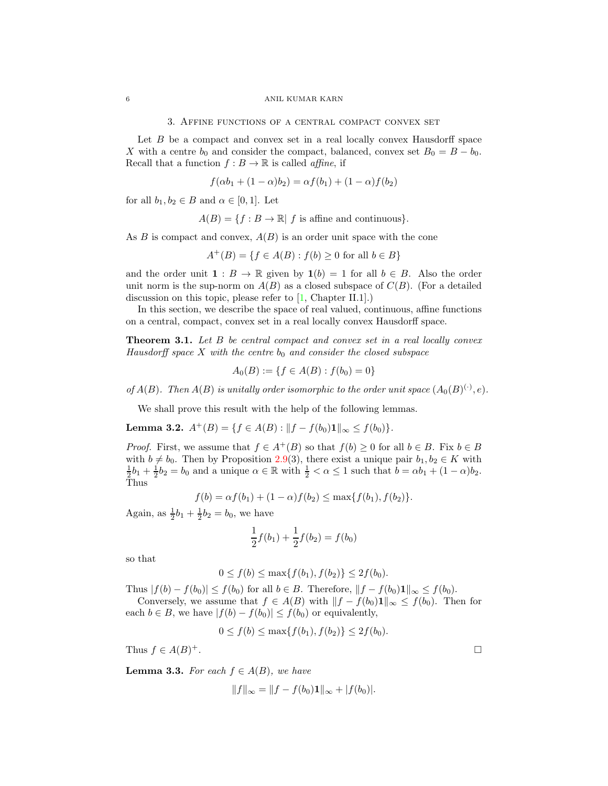3. Affine functions of a central compact convex set

Let B be a compact and convex set in a real locally convex Hausdorff space X with a centre  $b_0$  and consider the compact, balanced, convex set  $B_0 = B - b_0$ . Recall that a function  $f : B \to \mathbb{R}$  is called *affine*, if

$$
f(\alpha b_1 + (1 - \alpha)b_2) = \alpha f(b_1) + (1 - \alpha)f(b_2)
$$

for all  $b_1, b_2 \in B$  and  $\alpha \in [0, 1]$ . Let

$$
A(B) = \{ f : B \to \mathbb{R} | f \text{ is affine and continuous} \}.
$$

As B is compact and convex,  $A(B)$  is an order unit space with the cone

$$
A^+(B) = \{ f \in A(B) : f(b) \ge 0 \text{ for all } b \in B \}
$$

and the order unit  $\mathbf{1}: B \to \mathbb{R}$  given by  $\mathbf{1}(b) = 1$  for all  $b \in B$ . Also the order unit norm is the sup-norm on  $A(B)$  as a closed subspace of  $C(B)$ . (For a detailed discussion on this topic, please refer to [\[1,](#page-15-3) Chapter II.1].)

In this section, we describe the space of real valued, continuous, affine functions on a central, compact, convex set in a real locally convex Hausdorff space.

<span id="page-5-1"></span>Theorem 3.1. Let B be central compact and convex set in a real locally convex Hausdorff space X with the centre  $b_0$  and consider the closed subspace

$$
A_0(B) := \{ f \in A(B) : f(b_0) = 0 \}
$$

of  $A(B)$ . Then  $A(B)$  is unitally order isomorphic to the order unit space  $(A_0(B)^{(\cdot)},e)$ .

We shall prove this result with the help of the following lemmas.

<span id="page-5-0"></span>Lemma 3.2.  $A^+(B) = \{f \in A(B) : ||f - f(b_0)1||_{\infty} \leq f(b_0)\}.$ 

*Proof.* First, we assume that  $f \in A^+(B)$  so that  $f(b) \geq 0$  for all  $b \in B$ . Fix  $b \in B$ with  $b \neq b_0$ . Then by Proposition [2.9\(](#page-4-0)3), there exist a unique pair  $b_1, b_2 \in K$  with  $\frac{1}{2}b_1 + \frac{1}{2}b_2 = b_0$  and a unique  $\alpha \in \mathbb{R}$  with  $\frac{1}{2} < \alpha \leq 1$  such that  $b = \alpha b_1 + (1 - \alpha)b_2$ . Thus

$$
f(b) = \alpha f(b_1) + (1 - \alpha)f(b_2) \le \max\{f(b_1), f(b_2)\}.
$$

Again, as  $\frac{1}{2}b_1 + \frac{1}{2}b_2 = b_0$ , we have

$$
\frac{1}{2}f(b_1) + \frac{1}{2}f(b_2) = f(b_0)
$$

so that

$$
0 \le f(b) \le \max\{f(b_1), f(b_2)\} \le 2f(b_0).
$$

Thus  $|f(b) - f(b_0)| \le f(b_0)$  for all  $b \in B$ . Therefore,  $||f - f(b_0)1||_{\infty} \le f(b_0)$ .

Conversely, we assume that  $f \in A(B)$  with  $||f - f(b_0)1||_{\infty} \leq f(b_0)$ . Then for each  $b \in B$ , we have  $|f(b) - f(b_0)| \le f(b_0)$  or equivalently,

$$
0 \le f(b) \le \max\{f(b_1), f(b_2)\} \le 2f(b_0).
$$

Thus  $f \in A(B)^+$ . <sup>+</sup>.

<span id="page-5-2"></span>**Lemma 3.3.** For each  $f \in A(B)$ , we have

$$
||f||_{\infty} = ||f - f(b_0)\mathbf{1}||_{\infty} + |f(b_0)|.
$$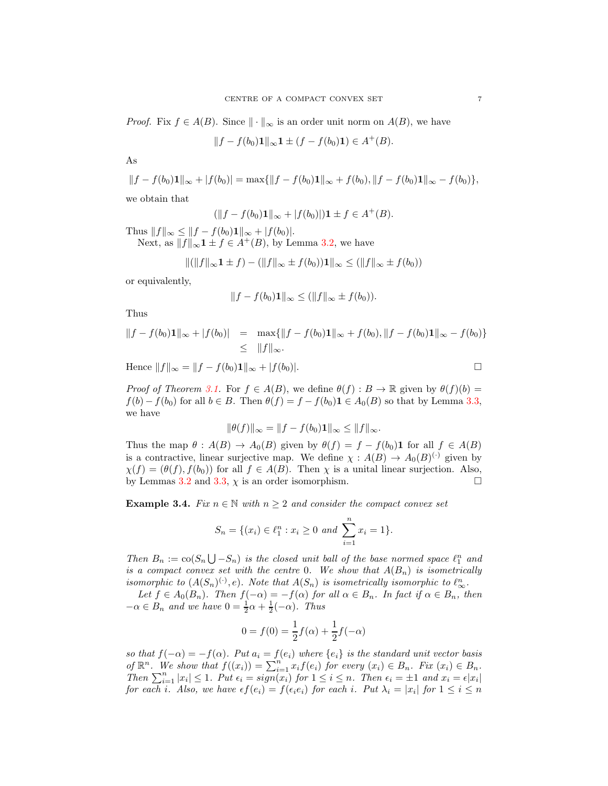*Proof.* Fix  $f \in A(B)$ . Since  $\|\cdot\|_{\infty}$  is an order unit norm on  $A(B)$ , we have

$$
||f - f(b_0)\mathbf{1}||_{\infty}\mathbf{1} \pm (f - f(b_0)\mathbf{1}) \in A^+(B).
$$

As

$$
||f - f(b_0)\mathbf{1}||_{\infty} + |f(b_0)| = \max\{||f - f(b_0)\mathbf{1}||_{\infty} + f(b_0), ||f - f(b_0)\mathbf{1}||_{\infty} - f(b_0)\},\
$$

we obtain that

$$
(\|f - f(b_0)\mathbf{1}\|_{\infty} + |f(b_0)|)\mathbf{1} \pm f \in A^+(B).
$$

Thus  $||f||_{\infty} \leq ||f - f(b_0)\mathbf{1}||_{\infty} + |f(b_0)|.$ 

Next, as  $||f||_{\infty}$ **1**  $\pm$   $f \in A^{+}(B)$ , by Lemma [3.2,](#page-5-0) we have

$$
\|(\|f\|_{\infty} \mathbf{1} \pm f) - (\|f\|_{\infty} \pm f(b_0)) \mathbf{1}\|_{\infty} \le (\|f\|_{\infty} \pm f(b_0))
$$

or equivalently,

$$
||f - f(b_0)\mathbf{1}||_{\infty} \le (||f||_{\infty} \pm f(b_0)).
$$

Thus

$$
||f - f(b_0)\mathbf{1}||_{\infty} + |f(b_0)| = \max{||f - f(b_0)\mathbf{1}||_{\infty} + f(b_0), ||f - f(b_0)\mathbf{1}||_{\infty} - f(b_0)}
$$
  
 
$$
\leq ||f||_{\infty}.
$$

Hence  $||f||_{\infty} = ||f - f(b_0)1||_{\infty} + |f(b_0)|.$ 

*Proof of Theorem 3.1.* For 
$$
f \in A(B)
$$
, we define  $\theta(f) : B \to \mathbb{R}$  given by  $\theta(f)(b) = f(b) - f(b_0)$  for all  $b \in B$ . Then  $\theta(f) = f - f(b_0) \mathbf{1} \in A_0(B)$  so that by Lemma 3.3, we have

$$
\|\theta(f)\|_{\infty} = \|f - f(b_0)\mathbf{1}\|_{\infty} \le \|f\|_{\infty}.
$$

Thus the map  $\theta : A(B) \to A_0(B)$  given by  $\theta(f) = f - f(b_0) \mathbf{1}$  for all  $f \in A(B)$ is a contractive, linear surjective map. We define  $\chi : A(B) \to A_0(B)^{(\cdot)}$  given by  $\chi(f) = (\theta(f), f(b_0))$  for all  $f \in A(B)$ . Then  $\chi$  is a unital linear surjection. Also, by Lemmas [3.2](#page-5-0) and [3.3,](#page-5-2)  $\chi$  is an order isomorphism.

**Example 3.4.** Fix  $n \in \mathbb{N}$  with  $n \geq 2$  and consider the compact convex set

$$
S_n = \{(x_i) \in \ell_1^n : x_i \ge 0 \text{ and } \sum_{i=1}^n x_i = 1\}.
$$

Then  $B_n := \text{co}(S_n \bigcup -S_n)$  is the closed unit ball of the base normed space  $\ell_1^n$  and is a compact convex set with the centre 0. We show that  $A(B_n)$  is isometrically isomorphic to  $(A(S_n)^{(\cdot)}, e)$ . Note that  $A(S_n)$  is isometrically isomorphic to  $\ell_{\infty}^n$ .

Let  $f \in A_0(B_n)$ . Then  $f(-\alpha) = -f(\alpha)$  for all  $\alpha \in B_n$ . In fact if  $\alpha \in B_n$ , then  $-\alpha \in B_n$  and we have  $0 = \frac{1}{2}\alpha + \frac{1}{2}(-\alpha)$ . Thus

$$
0 = f(0) = \frac{1}{2}f(\alpha) + \frac{1}{2}f(-\alpha)
$$

so that  $f(-\alpha) = -f(\alpha)$ . Put  $a_i = f(e_i)$  where  $\{e_i\}$  is the standard unit vector basis of  $\mathbb{R}^n$ . We show that  $f((x_i)) = \sum_{i=1}^n x_i f(e_i)$  for every  $(x_i) \in B_n$ . Fix  $(x_i) \in B_n$ . Then  $\sum_{i=1}^n |x_i| \leq 1$ . Put  $\epsilon_i = sign(x_i)$  for  $1 \leq i \leq n$ . Then  $\epsilon_i = \pm 1$  and  $x_i = \epsilon |x_i|$ for each i. Also, we have  $\epsilon f(e_i) = f(\epsilon_i e_i)$  for each i. Put  $\lambda_i = |x_i|$  for  $1 \leq i \leq n$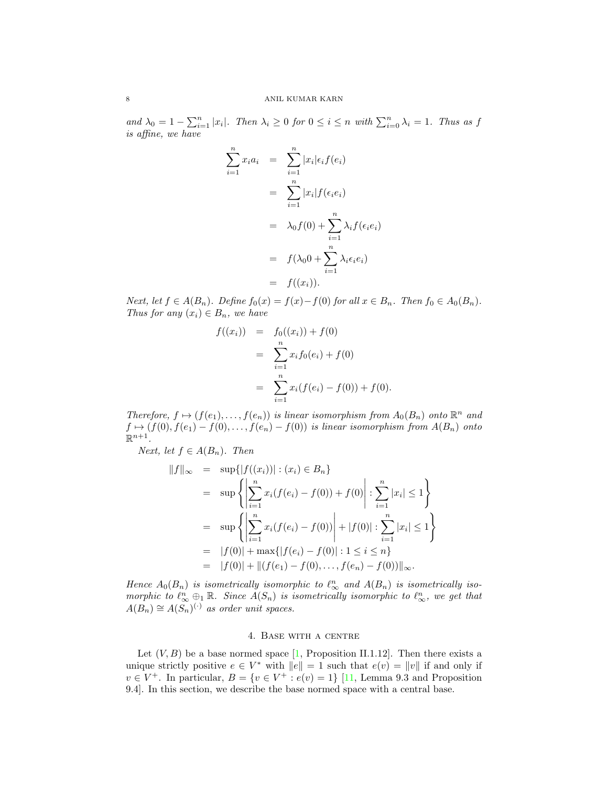and  $\lambda_0 = 1 - \sum_{i=1}^n |x_i|$ . Then  $\lambda_i \geq 0$  for  $0 \leq i \leq n$  with  $\sum_{i=0}^n \lambda_i = 1$ . Thus as f is affine, we have

$$
\sum_{i=1}^{n} x_i a_i = \sum_{i=1}^{n} |x_i| \epsilon_i f(e_i)
$$
  
= 
$$
\sum_{i=1}^{n} |x_i| f(\epsilon_i e_i)
$$
  
= 
$$
\lambda_0 f(0) + \sum_{i=1}^{n} \lambda_i f(\epsilon_i e_i)
$$
  
= 
$$
f(\lambda_0 0 + \sum_{i=1}^{n} \lambda_i \epsilon_i e_i)
$$
  
= 
$$
f((x_i)).
$$

Next, let  $f \in A(B_n)$ . Define  $f_0(x) = f(x) - f(0)$  for all  $x \in B_n$ . Then  $f_0 \in A_0(B_n)$ . Thus for any  $(x_i) \in B_n$ , we have

$$
f((x_i)) = f_0((x_i)) + f(0)
$$
  
= 
$$
\sum_{i=1}^n x_i f_0(e_i) + f(0)
$$
  
= 
$$
\sum_{i=1}^n x_i (f(e_i) - f(0)) + f(0).
$$

Therefore,  $f \mapsto (f(e_1), \ldots, f(e_n))$  is linear isomorphism from  $A_0(B_n)$  onto  $\mathbb{R}^n$  and  $f \mapsto (f(0), f(e_1) - f(0), \ldots, f(e_n) - f(0))$  is linear isomorphism from  $A(B_n)$  onto  $\mathbb{R}^{n+1}$ .

*Next, let*  $f \in A(B_n)$ *. Then* 

$$
||f||_{\infty} = \sup\{|f((x_i))| : (x_i) \in B_n\}
$$
  
\n
$$
= \sup\{\left|\sum_{i=1}^n x_i(f(e_i) - f(0)) + f(0)\right| : \sum_{i=1}^n |x_i| \le 1\}
$$
  
\n
$$
= \sup\{\left|\sum_{i=1}^n x_i(f(e_i) - f(0))\right| + |f(0)| : \sum_{i=1}^n |x_i| \le 1\}
$$
  
\n
$$
= |f(0)| + \max\{|f(e_i) - f(0)| : 1 \le i \le n\}
$$
  
\n
$$
= |f(0)| + ||(f(e_1) - f(0), \dots, f(e_n) - f(0))||_{\infty}.
$$

Hence  $A_0(B_n)$  is isometrically isomorphic to  $\ell_{\infty}^n$  and  $A(B_n)$  is isometrically isomorphic to  $\ell_{\infty}^n \oplus_1 \mathbb{R}$ . Since  $A(S_n)$  is isometrically isomorphic to  $\ell_{\infty}^n$ , we get that  $A(B_n) \cong A(S_n)^{(\cdot)}$  as order unit spaces.

### 4. Base with a centre

Let  $(V, B)$  be a base normed space [\[1,](#page-15-3) Proposition II.1.12]. Then there exists a unique strictly positive  $e \in V^*$  with  $||e|| = 1$  such that  $e(v) = ||v||$  if and only if  $v \in V^+$ . In particular,  $B = \{v \in V^+ : e(v) = 1\}$  [\[11,](#page-15-4) Lemma 9.3 and Proposition 9.4]. In this section, we describe the base normed space with a central base.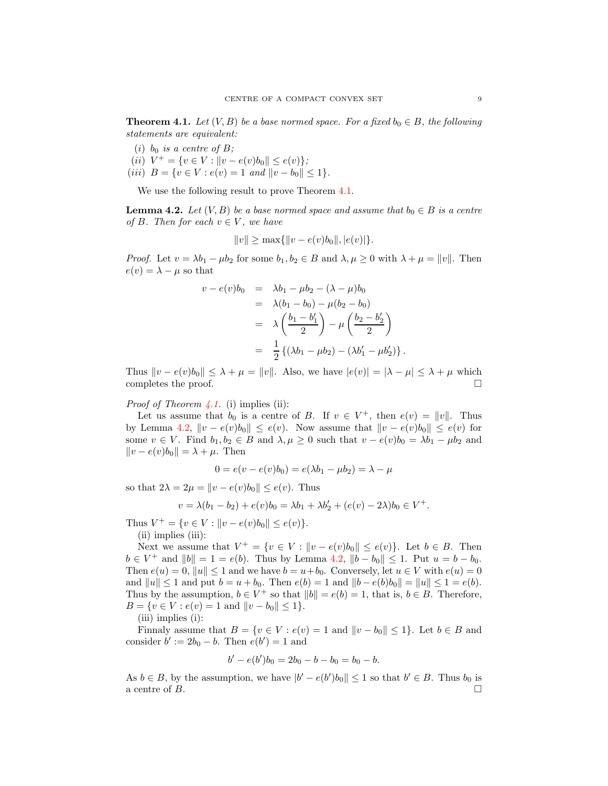<span id="page-8-0"></span>**Theorem 4.1.** Let  $(V, B)$  be a base normed space. For a fixed  $b_0 \in B$ , the following statements are equivalent:

- (i)  $b_0$  is a centre of B;
- (*ii*)  $V^+ = \{v \in V : ||v e(v)b_0|| \le e(v)\};$ (iii)  $B = \{v \in V : e(v) = 1 \text{ and } ||v - b_0|| \leq 1\}.$

We use the following result to prove Theorem  $4.1$ .

<span id="page-8-1"></span>**Lemma 4.2.** Let  $(V, B)$  be a base normed space and assume that  $b_0 \in B$  is a centre of B. Then for each  $v \in V$ , we have

$$
||v|| \ge \max{||v - e(v)b_0||, |e(v)|}.
$$

*Proof.* Let  $v = \lambda b_1 - \mu b_2$  for some  $b_1, b_2 \in B$  and  $\lambda, \mu \geq 0$  with  $\lambda + \mu = ||v||$ . Then  $e(v) = \lambda - \mu$  so that

$$
v - e(v)b_0 = \lambda b_1 - \mu b_2 - (\lambda - \mu) b_0
$$
  
=  $\lambda (b_1 - b_0) - \mu (b_2 - b_0)$   
=  $\lambda \left(\frac{b_1 - b'_1}{2}\right) - \mu \left(\frac{b_2 - b'_2}{2}\right)$   
=  $\frac{1}{2} \{(\lambda b_1 - \mu b_2) - (\lambda b'_1 - \mu b'_2)\}.$ 

Thus  $||v - e(v)b_0|| \leq \lambda + \mu = ||v||$ . Also, we have  $|e(v)| = |\lambda - \mu| \leq \lambda + \mu$  which completes the proof.  $\Box$ 

### *Proof of Theorem [4.1.](#page-8-0)* (i) implies (ii):

Let us assume that  $b_0$  is a centre of B. If  $v \in V^+$ , then  $e(v) = ||v||$ . Thus by Lemma [4.2,](#page-8-1)  $||v - e(v)b_0|| \le e(v)$ . Now assume that  $||v - e(v)b_0|| \le e(v)$  for some  $v \in V$ . Find  $b_1, b_2 \in B$  and  $\lambda, \mu \geq 0$  such that  $v - e(v)b_0 = \lambda b_1 - \mu b_2$  and  $||v - e(v)b_0|| = \lambda + \mu$ . Then

$$
0 = e(v - e(v)b_0) = e(\lambda b_1 - \mu b_2) = \lambda - \mu
$$

so that  $2\lambda = 2\mu = ||v - e(v)b_0|| \leq e(v)$ . Thus

$$
v = \lambda(b_1 - b_2) + e(v)b_0 = \lambda b_1 + \lambda b_2' + (e(v) - 2\lambda)b_0 \in V^+.
$$

Thus  $V^+ = \{v \in V : ||v - e(v)b_0|| \le e(v)\}.$ 

(ii) implies (iii):

Next we assume that  $V^+ = \{v \in V : ||v - e(v)b_0|| \le e(v)\}\$ . Let  $b \in B$ . Then  $b \in V^+$  and  $||b|| = 1 = e(b)$ . Thus by Lemma [4.2,](#page-8-1)  $||b - b_0|| \le 1$ . Put  $u = b - b_0$ . Then  $e(u) = 0$ ,  $||u|| \le 1$  and we have  $b = u + b_0$ . Conversely, let  $u \in V$  with  $e(u) = 0$ and  $||u|| \le 1$  and put  $b = u + b_0$ . Then  $e(b) = 1$  and  $||b - e(b)b_0|| = ||u|| \le 1 = e(b)$ . Thus by the assumption,  $b \in V^+$  so that  $||b|| = e(b) = 1$ , that is,  $b \in B$ . Therefore,  $B = \{v \in V : e(v) = 1 \text{ and } ||v - b_0|| \leq 1\}.$ (iii) implies (i):

Finnaly assume that  $B = \{v \in V : e(v) = 1 \text{ and } ||v - b_0|| \leq 1\}$ . Let  $b \in B$  and consider  $b' := 2b_0 - b$ . Then  $e(b') = 1$  and

$$
b' - e(b')b_0 = 2b_0 - b - b_0 = b_0 - b.
$$

As  $b \in B$ , by the assumption, we have  $|b' - e(b')b_0| \leq 1$  so that  $b' \in B$ . Thus  $b_0$  is a centre of  $B$ .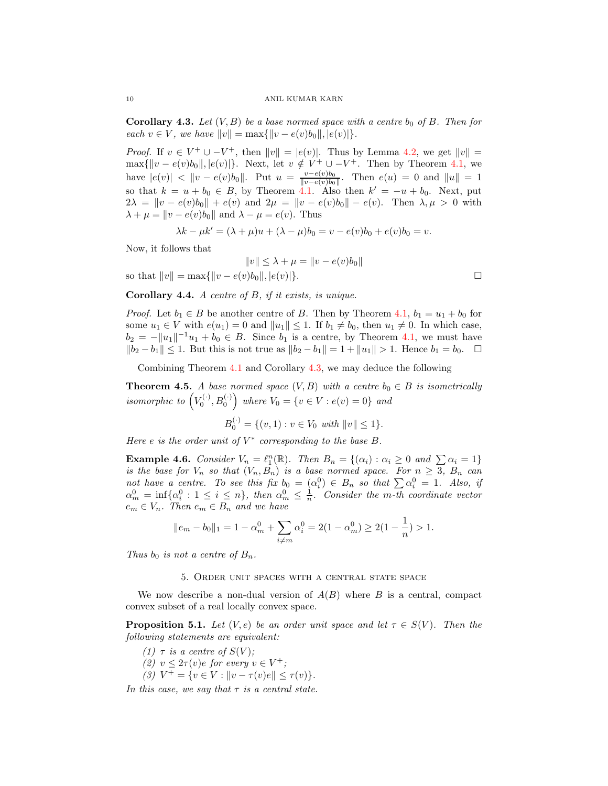<span id="page-9-0"></span>**Corollary 4.3.** Let  $(V, B)$  be a base normed space with a centre  $b_0$  of B. Then for each  $v \in V$ , we have  $||v|| = \max{||v - e(v)b_0||, |e(v)||}.$ 

*Proof.* If  $v \in V^+ \cup -V^+$ , then  $||v|| = |e(v)|$ . Thus by Lemma [4.2,](#page-8-1) we get  $||v|| =$  $\max\{\Vert v - e(v)b_0 \Vert, |e(v)|\}.$  Next, let  $v \notin V^+ \cup -V^+$ . Then by Theorem [4.1,](#page-8-0) we have  $|e(v)| < ||v - e(v)b_0||$ . Put  $u = \frac{v - e(v)b_0}{||v - e(v)b_0||}$  $\frac{v-e(v)\theta_0}{\|v-e(v)\theta_0\|}$ . Then  $e(u) = 0$  and  $\|u\| = 1$ so that  $k = u + b_0 \in B$ , by Theorem [4.1.](#page-8-0) Also then  $k' = -u + b_0$ . Next, put  $2\lambda = ||v - e(v)b_0|| + e(v)$  and  $2\mu = ||v - e(v)b_0|| - e(v)$ . Then  $\lambda, \mu > 0$  with  $\lambda + \mu = ||v - e(v)b_0||$  and  $\lambda - \mu = e(v)$ . Thus

$$
\lambda k - \mu k' = (\lambda + \mu)u + (\lambda - \mu)b_0 = v - e(v)b_0 + e(v)b_0 = v.
$$

Now, it follows that

$$
||v|| \le \lambda + \mu = ||v - e(v)b_0||
$$
  
so that  $||v|| = \max{||v - e(v)b_0||, |e(v)|}.$ 

**Corollary 4.4.** A centre of  $B$ , if it exists, is unique.

*Proof.* Let  $b_1 \in B$  be another centre of B. Then by Theorem [4.1,](#page-8-0)  $b_1 = u_1 + b_0$  for some  $u_1 \in V$  with  $e(u_1) = 0$  and  $||u_1|| \leq 1$ . If  $b_1 \neq b_0$ , then  $u_1 \neq 0$ . In which case,  $b_2 = -||u_1||^{-1}u_1 + b_0 \in B$ . Since  $b_1$  is a centre, by Theorem [4.1,](#page-8-0) we must have  $||b_2 - b_1|| \le 1$ . But this is not true as  $||b_2 - b_1|| = 1 + ||u_1|| > 1$ . Hence  $b_1 = b_0$ . □

Combining Theorem [4.1](#page-8-0) and Corollary [4.3,](#page-9-0) we may deduce the following

**Theorem 4.5.** A base normed space  $(V, B)$  with a centre  $b_0 \in B$  is isometrically isomorphic to  $(V_0^{(\cdot)}, B_0^{(\cdot)})$  where  $V_0 = \{v \in V : e(v) = 0\}$  and

$$
B_0^{(\cdot)} = \{ (v, 1) : v \in V_0 \text{ with } ||v|| \le 1 \}.
$$

Here e is the order unit of  $V^*$  corresponding to the base  $B$ .

**Example 4.6.** Consider  $V_n = \ell_1^n(\mathbb{R})$ . Then  $B_n = \{(\alpha_i) : \alpha_i \geq 0 \text{ and } \sum \alpha_i = 1\}$ is the base for  $V_n$  so that  $(V_n, B_n)$  is a base normed space. For  $n \geq 3$ ,  $B_n$  can not have a centre. To see this fix  $b_0 = (\alpha_i^0) \in B_n$  so that  $\sum \alpha_i^0 = 1$ . Also, if  $\alpha_m^0 = \inf{\alpha_i^0 : 1 \leq i \leq n}$ , then  $\alpha_m^0 \leq \frac{1}{n}$ . Consider the m-th coordinate vector  $e_m \in V_n$ . Then  $e_m \in B_n$  and we have

$$
||e_m - b_0||_1 = 1 - \alpha_m^0 + \sum_{i \neq m} \alpha_i^0 = 2(1 - \alpha_m^0) \ge 2(1 - \frac{1}{n}) > 1.
$$

Thus  $b_0$  is not a centre of  $B_n$ .

## 5. Order unit spaces with a central state space

We now describe a non-dual version of  $A(B)$  where B is a central, compact convex subset of a real locally convex space.

<span id="page-9-1"></span>**Proposition 5.1.** Let  $(V, e)$  be an order unit space and let  $\tau \in S(V)$ . Then the following statements are equivalent:

(1)  $\tau$  is a centre of  $S(V)$ ; (2)  $v \leq 2\tau(v)e$  for every  $v \in V^+$ ; (3)  $V^+ = \{v \in V : ||v - \tau(v)e|| \leq \tau(v)\}.$ 

In this case, we say that  $\tau$  is a central state.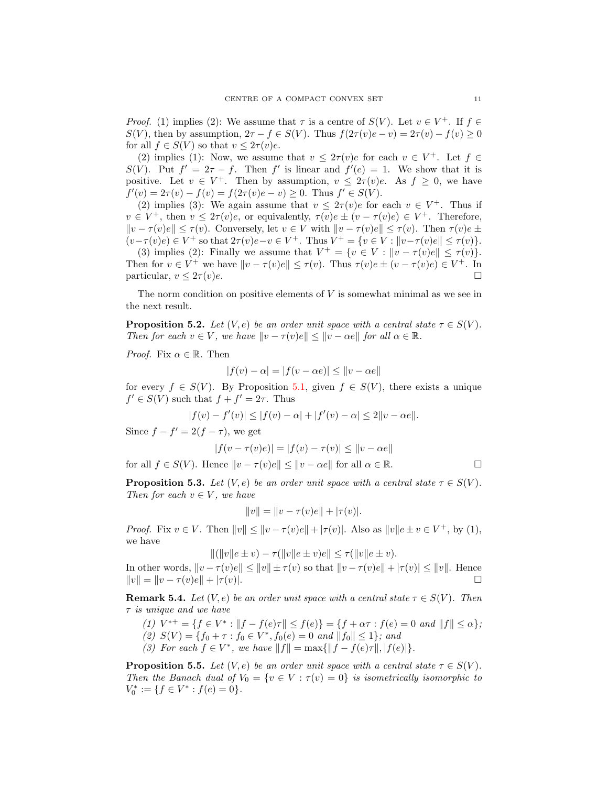*Proof.* (1) implies (2): We assume that  $\tau$  is a centre of  $S(V)$ . Let  $v \in V^+$ . If  $f \in$  $S(V)$ , then by assumption,  $2\tau - f \in S(V)$ . Thus  $f(2\tau(v)e - v) = 2\tau(v) - f(v) \geq 0$ for all  $f \in S(V)$  so that  $v \leq 2\tau(v)e$ .

(2) implies (1): Now, we assume that  $v \leq 2\tau(v)e$  for each  $v \in V^+$ . Let  $f \in$  $S(V)$ . Put  $f' = 2\tau - f$ . Then f' is linear and  $f'(e) = 1$ . We show that it is positive. Let  $v \in V^+$ . Then by assumption,  $v \leq 2\tau(v)e$ . As  $f \geq 0$ , we have  $f'(v) = 2\tau(v) - f(v) = f(2\tau(v)e - v) \ge 0$ . Thus  $f' \in S(V)$ .

(2) implies (3): We again assume that  $v \leq 2\tau(v)e$  for each  $v \in V^+$ . Thus if  $v \in V^+$ , then  $v \leq 2\tau(v)e$ , or equivalently,  $\tau(v)e \pm (v - \tau(v)e) \in V^+$ . Therefore,  $||v - \tau(v)e|| \leq \tau(v)$ . Conversely, let  $v \in V$  with  $||v - \tau(v)e|| \leq \tau(v)$ . Then  $\tau(v)e \pm \tau(v)$  $(v-\tau(v)e) \in V^+$  so that  $2\tau(v)e-v \in V^+$ . Thus  $V^+ = \{v \in V : ||v-\tau(v)e|| \leq \tau(v)\}.$ 

(3) implies (2): Finally we assume that  $V^+ = \{v \in V : ||v - \tau(v)e|| \leq \tau(v)\}.$ Then for  $v \in V^+$  we have  $||v - \tau(v)e|| \leq \tau(v)$ . Thus  $\tau(v)e \pm (v - \tau(v)e) \in V^+$ . In particular,  $v \leq 2\tau(v)e$ .

The norm condition on positive elements of  $V$  is somewhat minimal as we see in the next result.

<span id="page-10-0"></span>**Proposition 5.2.** Let  $(V, e)$  be an order unit space with a central state  $\tau \in S(V)$ . Then for each  $v \in V$ , we have  $||v - \tau(v)e|| \le ||v - \alpha e||$  for all  $\alpha \in \mathbb{R}$ .

*Proof.* Fix  $\alpha \in \mathbb{R}$ . Then

$$
|f(v) - \alpha| = |f(v - \alpha e)| \le ||v - \alpha e||
$$

for every  $f \in S(V)$ . By Proposition [5.1,](#page-9-1) given  $f \in S(V)$ , there exists a unique  $f' \in S(V)$  such that  $f + f' = 2\tau$ . Thus

$$
|f(v) - f'(v)| \le |f(v) - \alpha| + |f'(v) - \alpha| \le 2||v - \alpha e||.
$$

Since  $f - f' = 2(f - \tau)$ , we get

$$
|f(v - \tau(v)e)| = |f(v) - \tau(v)| \le ||v - \alpha e||
$$

for all  $f \in S(V)$ . Hence  $||v - \tau(v)e|| \le ||v - \alpha e||$  for all  $\alpha \in \mathbb{R}$ .

<span id="page-10-1"></span>**Proposition 5.3.** Let  $(V, e)$  be an order unit space with a central state  $\tau \in S(V)$ . Then for each  $v \in V$ , we have

$$
||v|| = ||v - \tau(v)e|| + |\tau(v)|.
$$

*Proof.* Fix  $v \in V$ . Then  $||v|| \le ||v - \tau(v)e|| + |\tau(v)|$ . Also as  $||v||e \pm v \in V^+$ , by (1), we have

$$
\|(|v||e \pm v) - \tau(||v||e \pm v)e\| \le \tau(||v||e \pm v).
$$

In other words,  $||v - \tau(v)e|| \le ||v|| \pm \tau(v)$  so that  $||v - \tau(v)e|| + |\tau(v)| \le ||v||$ . Hence  $||v|| = ||v - \tau(v)e|| + |\tau(v)|.$ 

**Remark 5.4.** Let  $(V, e)$  be an order unit space with a central state  $\tau \in S(V)$ . Then τ is unique and we have

$$
(1) V^{*+} = \{ f \in V^* : ||f - f(e)\tau|| \le f(e) \} = \{ f + \alpha \tau : f(e) = 0 \text{ and } ||f|| \le \alpha \};
$$

- (2)  $S(V) = \{f_0 + \tau : f_0 \in V^*, f_0(e) = 0 \text{ and } ||f_0|| \le 1\};$  and
- (3) For each  $f \in V^*$ , we have  $||f|| = \max{||f f(e)\tau||, |f(e)|}.$

**Proposition 5.5.** Let  $(V, e)$  be an order unit space with a central state  $\tau \in S(V)$ . Then the Banach dual of  $V_0 = \{v \in V : \tau(v) = 0\}$  is isometrically isomorphic to  $V_0^* := \{f \in V^* : f(e) = 0\}.$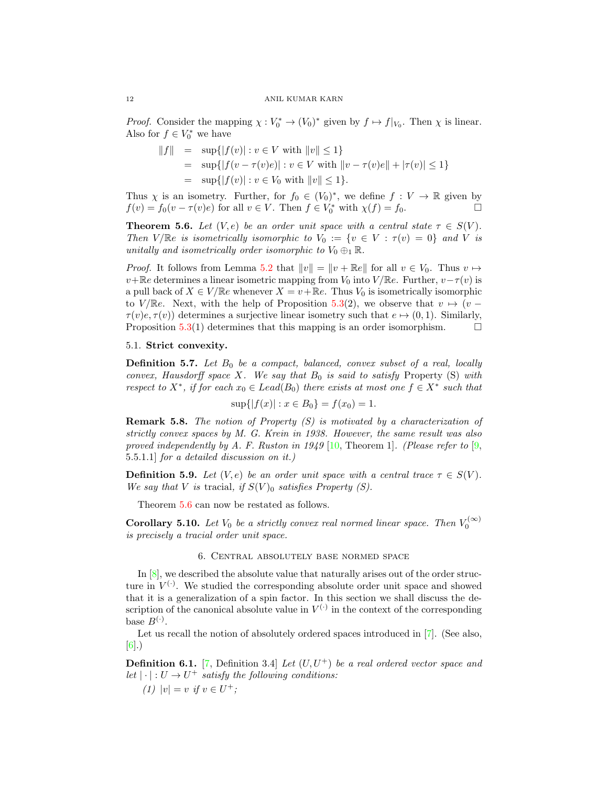*Proof.* Consider the mapping  $\chi : V_0^* \to (V_0)^*$  given by  $f \mapsto f|_{V_0}$ . Then  $\chi$  is linear. Also for  $f \in V_0^*$  we have

$$
||f|| = \sup\{|f(v)| : v \in V \text{ with } ||v|| \le 1\}
$$
  
=  $\sup\{|f(v - \tau(v)e)| : v \in V \text{ with } ||v - \tau(v)e|| + |\tau(v)| \le 1\}$   
=  $\sup\{|f(v)| : v \in V_0 \text{ with } ||v|| \le 1\}.$ 

Thus  $\chi$  is an isometry. Further, for  $f_0 \in (V_0)^*$ , we define  $f: V \to \mathbb{R}$  given by  $f(v) = f_0(v - \tau(v)e)$  for all  $v \in V$ . Then  $f \in V_0^*$  with  $\chi(f) = f_0$ .

<span id="page-11-0"></span>**Theorem 5.6.** Let  $(V, e)$  be an order unit space with a central state  $\tau \in S(V)$ . Then  $V/\mathbb{R}e$  is isometrically isomorphic to  $V_0 := \{v \in V : \tau(v) = 0\}$  and V is unitally and isometrically order isomorphic to  $V_0 \oplus_1 \mathbb{R}$ .

*Proof.* It follows from Lemma [5.2](#page-10-0) that  $||v|| = ||v + \mathbb{R}e||$  for all  $v \in V_0$ . Thus  $v \mapsto$  $v+\mathbb{R}e$  determines a linear isometric mapping from  $V_0$  into  $V/\mathbb{R}e$ . Further,  $v-\tau(v)$  is a pull back of  $X \in V/\mathbb{R}e$  whenever  $X = v + \mathbb{R}e$ . Thus  $V_0$  is isometrically isomorphic to V/ $\mathbb{R}e$ . Next, with the help of Proposition [5.3\(](#page-10-1)2), we observe that  $v \mapsto (v \tau(v)e, \tau(v)$  determines a surjective linear isometry such that  $e \mapsto (0, 1)$ . Similarly, Proposition [5.3\(](#page-10-1)1) determines that this mapping is an order isomorphism.  $\Box$ 

# 5.1. Strict convexity.

**Definition 5.7.** Let  $B_0$  be a compact, balanced, convex subset of a real, locally convex, Hausdorff space  $X$ . We say that  $B_0$  is said to satisfy Property (S) with respect to  $X^*$ , if for each  $x_0 \in \text{Leaf}(B_0)$  there exists at most one  $f \in X^*$  such that

$$
\sup\{|f(x)| : x \in B_0\} = f(x_0) = 1.
$$

Remark 5.8. The notion of Property (S) is motivated by a characterization of strictly convex spaces by M. G. Krein in 1938. However, the same result was also proved independently by A. F. Ruston in 1949 [\[10,](#page-15-5) Theorem 1]. (Please refer to  $\lbrack 9,$ 5.5.1.1] for a detailed discussion on it.)

**Definition 5.9.** Let  $(V, e)$  be an order unit space with a central trace  $\tau \in S(V)$ . We say that V is tracial, if  $S(V)_0$  satisfies Property (S).

Theorem  $5.6$  can now be restated as follows.

**Corollary 5.10.** Let  $V_0$  be a strictly convex real normed linear space. Then  $V_0^{(\infty)}$ is precisely a tracial order unit space.

## 6. Central absolutely base normed space

In [\[8\]](#page-15-0), we described the absolute value that naturally arises out of the order structure in  $V^{(\cdot)}$ . We studied the corresponding absolute order unit space and showed that it is a generalization of a spin factor. In this section we shall discuss the description of the canonical absolute value in  $V^{(\cdot)}$  in the context of the corresponding base  $B^{(\cdot)}$ .

Let us recall the notion of absolutely ordered spaces introduced in [\[7\]](#page-15-7). (See also, [\[6\]](#page-15-8).)

**Definition 6.1.** [\[7,](#page-15-7) Definition 3.4] Let  $(U, U^+)$  be a real ordered vector space and let  $|\cdot|: U \to U^+$  satisfy the following conditions:

(1)  $|v| = v$  if  $v \in U^{+}$ ;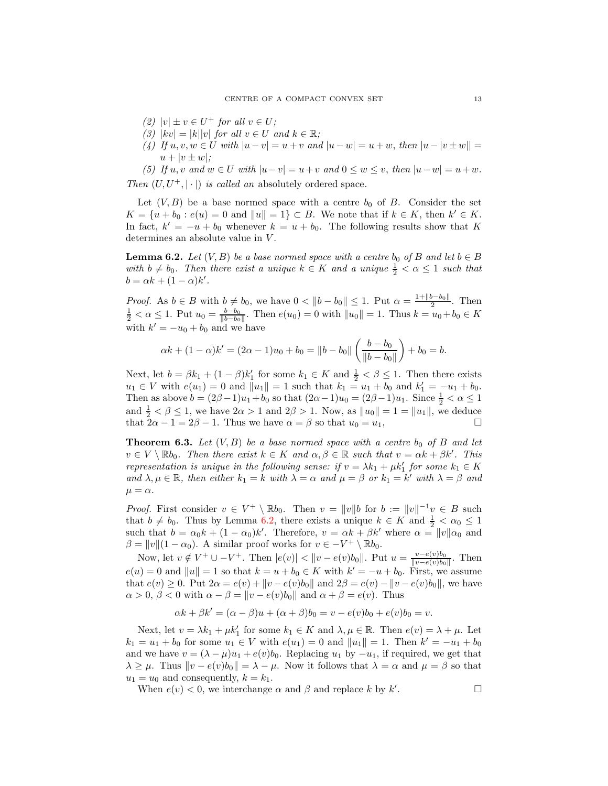- (2)  $|v| \pm v \in U^+$  for all  $v \in U$ ;
- (3)  $|kv| = |k||v|$  for all  $v \in U$  and  $k \in \mathbb{R}$ ;
- (4) If  $u, v, w \in U$  with  $|u v| = u + v$  and  $|u w| = u + w$ , then  $|u v| \pm w|| =$  $u + |v \pm w|$ ;

(5) If  $u, v$  and  $w \in U$  with  $|u-v| = u+v$  and  $0 \le w \le v$ , then  $|u-w| = u+w$ . Then  $(U, U^+, |\cdot|)$  is called an absolutely ordered space.

Let  $(V, B)$  be a base normed space with a centre  $b_0$  of B. Consider the set  $K = \{u + b_0 : e(u) = 0 \text{ and } ||u|| = 1\} \subset B.$  We note that if  $k \in K$ , then  $k' \in K$ . In fact,  $k' = -u + b_0$  whenever  $k = u + b_0$ . The following results show that K determines an absolute value in V.

<span id="page-12-0"></span>**Lemma 6.2.** Let  $(V, B)$  be a base normed space with a centre  $b_0$  of B and let  $b \in B$ with  $b \neq b_0$ . Then there exist a unique  $k \in K$  and a unique  $\frac{1}{2} < \alpha \leq 1$  such that  $b = \alpha k + (1 - \alpha)k'$ .

*Proof.* As  $b \in B$  with  $b \neq b_0$ , we have  $0 < ||b - b_0|| \leq 1$ . Put  $\alpha = \frac{1 + ||b - b_0||}{2}$  $\frac{p - o_0}{2}$ . Then  $\frac{1}{2} < \alpha \leq 1$ . Put  $u_0 = \frac{b - b_0}{\|b - b_0\|}$ . Then  $e(u_0) = 0$  with  $||u_0|| = 1$ . Thus  $k = u_0 + b_0 \in K$ with  $k' = -u_0 + b_0$  and we have

$$
\alpha k + (1 - \alpha)k' = (2\alpha - 1)u_0 + b_0 = ||b - b_0|| \left( \frac{b - b_0}{||b - b_0||} \right) + b_0 = b.
$$

Next, let  $b = \beta k_1 + (1 - \beta)k'_1$  for some  $k_1 \in K$  and  $\frac{1}{2} < \beta \leq 1$ . Then there exists  $u_1 \in V$  with  $e(u_1) = 0$  and  $||u_1|| = 1$  such that  $k_1 = u_1 + b_0$  and  $k'_1 = -u_1 + b_0$ . Then as above  $b = (2\beta - 1)u_1 + b_0$  so that  $(2\alpha - 1)u_0 = (2\beta - 1)u_1$ . Since  $\frac{1}{2} < \alpha \le 1$ and  $\frac{1}{2} < \beta \le 1$ , we have  $2\alpha > 1$  and  $2\beta > 1$ . Now, as  $||u_0|| = 1 = ||u_1||$ , we deduce that  $2\alpha - 1 = 2\beta - 1$ . Thus we have  $\alpha = \beta$  so that  $u_0 = u_1$ ,

**Theorem 6.3.** Let  $(V, B)$  be a base normed space with a centre  $b_0$  of B and let  $v \in V \setminus \mathbb{R}b_0$ . Then there exist  $k \in K$  and  $\alpha, \beta \in \mathbb{R}$  such that  $v = \alpha k + \beta k'$ . This representation is unique in the following sense: if  $v = \lambda k_1 + \mu k'_1$  for some  $k_1 \in K$ and  $\lambda, \mu \in \mathbb{R}$ , then either  $k_1 = k$  with  $\lambda = \alpha$  and  $\mu = \beta$  or  $k_1 = k'$  with  $\lambda = \beta$  and  $\mu = \alpha$ .

*Proof.* First consider  $v \in V^+ \setminus \mathbb{R}b_0$ . Then  $v = ||v||$  for  $b := ||v||^{-1}v \in B$  such that  $b \neq b_0$ . Thus by Lemma [6.2,](#page-12-0) there exists a unique  $k \in K$  and  $\frac{1}{2} < \alpha_0 \leq 1$ such that  $b = \alpha_0 k + (1 - \alpha_0)k'$ . Therefore,  $v = \alpha k + \beta k'$  where  $\alpha = ||v||\alpha_0$  and  $\beta = ||v|| (1 - \alpha_0)$ . A similar proof works for  $v \in -V^+ \setminus \mathbb{R}b_0$ .

Now, let  $v \notin V^+ \cup -V^+$ . Then  $|e(v)| < ||v - e(v)b_0||$ . Put  $u = \frac{v - e(v)b_0}{||v - e(v)b_0||}$  $\frac{v-e(v)\overline{v_0}}{\|v-e(v)\overline{b_0}\|}$ . Then  $e(u) = 0$  and  $||u|| = 1$  so that  $k = u + b_0 \in K$  with  $k' = -u + b_0$ . First, we assume that  $e(v) \ge 0$ . Put  $2\alpha = e(v) + ||v - e(v)b_0||$  and  $2\beta = e(v) - ||v - e(v)b_0||$ , we have  $\alpha > 0, \beta < 0$  with  $\alpha - \beta = ||v - e(v)b_0||$  and  $\alpha + \beta = e(v)$ . Thus

$$
\alpha k + \beta k' = (\alpha - \beta)u + (\alpha + \beta)b_0 = v - e(v)b_0 + e(v)b_0 = v.
$$

Next, let  $v = \lambda k_1 + \mu k_1'$  for some  $k_1 \in K$  and  $\lambda, \mu \in \mathbb{R}$ . Then  $e(v) = \lambda + \mu$ . Let  $k_1 = u_1 + b_0$  for some  $u_1 \in V$  with  $e(u_1) = 0$  and  $||u_1|| = 1$ . Then  $k' = -u_1 + b_0$ and we have  $v = (\lambda - \mu)u_1 + e(v)b_0$ . Replacing  $u_1$  by  $-u_1$ , if required, we get that  $\lambda \geq \mu$ . Thus  $\|v - e(v)b_0\| = \lambda - \mu$ . Now it follows that  $\lambda = \alpha$  and  $\mu = \beta$  so that  $u_1 = u_0$  and consequently,  $k = k_1$ .

When  $e(v) < 0$ , we interchange  $\alpha$  and  $\beta$  and replace k by k'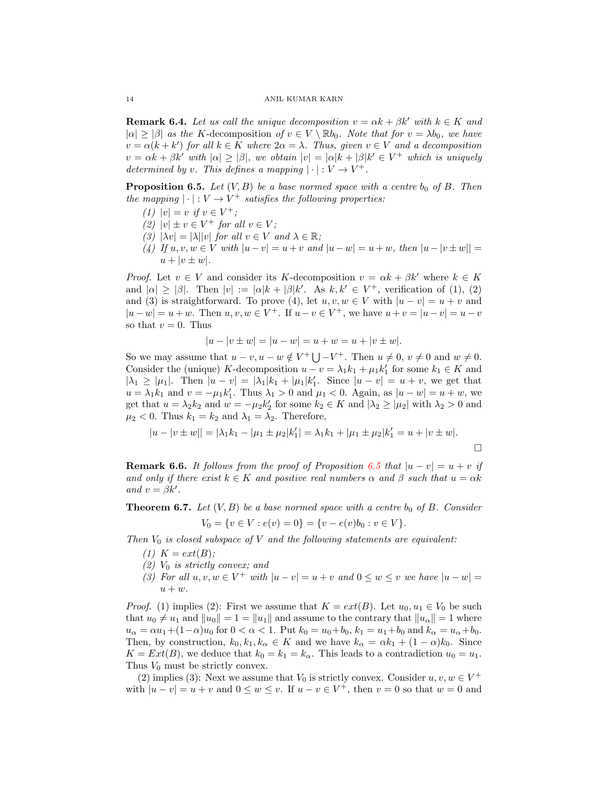**Remark 6.4.** Let us call the unique decomposition  $v = \alpha k + \beta k'$  with  $k \in K$  and  $|\alpha| \geq |\beta|$  as the K-decomposition of  $v \in V \setminus \mathbb{R}$ b<sub>0</sub>. Note that for  $v = \lambda b_0$ , we have  $v = \alpha(k + k')$  for all  $k \in K$  where  $2\alpha = \lambda$ . Thus, given  $v \in V$  and a decomposition  $v = \alpha k + \beta k'$  with  $|\alpha| \geq |\beta|$ , we obtain  $|v| = |\alpha|k + |\beta|k' \in V^+$  which is uniquely determined by v. This defines a mapping  $|\cdot|: V \to V^+$ .

<span id="page-13-1"></span>**Proposition 6.5.** Let  $(V, B)$  be a base normed space with a centre  $b_0$  of B. Then the mapping  $|\cdot|: V \to V^+$  satisfies the following properties:

- (1)  $|v| = v$  if  $v \in V^+$ ;
- (2)  $|v| \pm v \in V^+$  for all  $v \in V$ ;
- (3)  $|\lambda v| = |\lambda| |v|$  for all  $v \in V$  and  $\lambda \in \mathbb{R}$ ;
- (4) If  $u, v, w \in V$  with  $|u v| = u + v$  and  $|u w| = u + w$ , then  $|u v| \pm w|| =$  $u + |v \pm w|$ .

*Proof.* Let  $v \in V$  and consider its K-decomposition  $v = \alpha k + \beta k'$  where  $k \in K$ and  $|\alpha| \geq |\beta|$ . Then  $|v| := |\alpha|k + |\beta|k'$ . As  $k, k' \in V^+$ , verification of (1), (2) and (3) is straightforward. To prove (4), let  $u, v, w \in V$  with  $|u - v| = u + v$  and  $|u - w| = u + w$ . Then  $u, v, w \in V^+$ . If  $u - v \in V^+$ , we have  $u + v = |u - v| = u - v$ so that  $v = 0$ . Thus

$$
|u - v \pm w| = |u - w| = u + w = u + |v \pm w|.
$$

So we may assume that  $u - v, u - w \notin V^+ \bigcup V^+$ . Then  $u \neq 0, v \neq 0$  and  $w \neq 0$ . Consider the (unique) K-decomposition  $u - v = \lambda_1 k_1 + \mu_1 k'_1$  for some  $k_1 \in K$  and  $|\lambda_1 \geq |\mu_1|$ . Then  $|u - v| = |\lambda_1| k_1 + |\mu_1| k_1'$ . Since  $|u - v| = u + v$ , we get that  $u = \lambda_1 k_1$  and  $v = -\mu_1 k_1'$ . Thus  $\lambda_1 > 0$  and  $\mu_1 < 0$ . Again, as  $|u - w| = u + w$ , we get that  $u = \lambda_2 k_2$  and  $w = -\mu_2 k_2'$  for some  $k_2 \in K$  and  $|\lambda_2 \geq |\mu_2|$  with  $\lambda_2 > 0$  and  $\mu_2 < 0$ . Thus  $k_1 = k_2$  and  $\lambda_1 = \lambda_2$ . Therefore,

$$
|u - v \pm w|| = |\lambda_1 k_1 - |\mu_1 \pm \mu_2| k_1'| = \lambda_1 k_1 + |\mu_1 \pm \mu_2| k_1' = u + |v \pm w|.
$$

**Remark 6.6.** It follows from the proof of Proposition [6.5](#page-13-1) that  $|u - v| = u + v$  if and only if there exist  $k \in K$  and positive real numbers  $\alpha$  and  $\beta$  such that  $u = \alpha k$ and  $v = \beta k'$ .

<span id="page-13-0"></span>**Theorem 6.7.** Let  $(V, B)$  be a base normed space with a centre  $b_0$  of B. Consider

$$
V_0 = \{v \in V : e(v) = 0\} = \{v - e(v)b_0 : v \in V\}.
$$

Then  $V_0$  is closed subspace of V and the following statements are equivalent:

- (1)  $K = ext(B);$
- $(2)$  V<sub>0</sub> is strictly convex; and
- (3) For all  $u, v, w \in V^+$  with  $|u v| = u + v$  and  $0 \le w \le v$  we have  $|u w| =$  $u + w$ .

*Proof.* (1) implies (2): First we assume that  $K = ext(B)$ . Let  $u_0, u_1 \in V_0$  be such that  $u_0 \neq u_1$  and  $||u_0|| = 1 = ||u_1||$  and assume to the contrary that  $||u_\alpha|| = 1$  where  $u_{\alpha} = \alpha u_1 + (1 - \alpha)u_0$  for  $0 < \alpha < 1$ . Put  $k_0 = u_0 + b_0$ ,  $k_1 = u_1 + b_0$  and  $k_{\alpha} = u_{\alpha} + b_0$ . Then, by construction,  $k_0, k_1, k_\alpha \in K$  and we have  $k_\alpha = \alpha k_1 + (1 - \alpha)k_0$ . Since  $K = Ext(B)$ , we deduce that  $k_0 = k_1 = k_\alpha$ . This leads to a contradiction  $u_0 = u_1$ . Thus  $V_0$  must be strictly convex.

(2) implies (3): Next we assume that  $V_0$  is strictly convex. Consider  $u, v, w \in V^+$ with  $|u - v| = u + v$  and  $0 \le w \le v$ . If  $u - v \in V^+$ , then  $v = 0$  so that  $w = 0$  and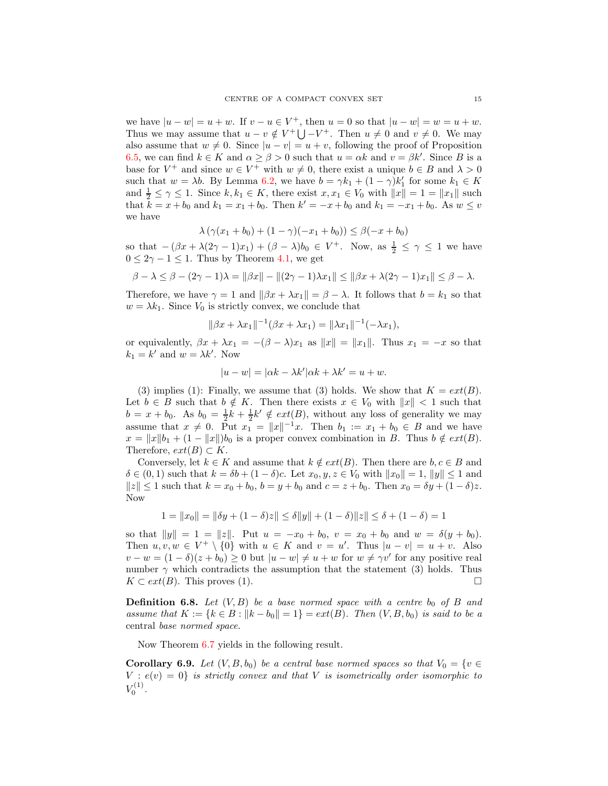we have  $|u - w| = u + w$ . If  $v - u \in V^+$ , then  $u = 0$  so that  $|u - w| = w = u + w$ . Thus we may assume that  $u - v \notin V^+ \bigcup V^+$ . Then  $u \neq 0$  and  $v \neq 0$ . We may also assume that  $w \neq 0$ . Since  $|u - v| = u + v$ , following the proof of Proposition [6.5,](#page-13-1) we can find  $k \in K$  and  $\alpha \ge \beta > 0$  such that  $u = \alpha k$  and  $v = \beta k'$ . Since B is a base for  $V^+$  and since  $w \in V^+$  with  $w \neq 0$ , there exist a unique  $b \in B$  and  $\lambda > 0$ such that  $w = \lambda b$ . By Lemma [6.2,](#page-12-0) we have  $b = \gamma k_1 + (1 - \gamma)k'_1$  for some  $k_1 \in K$ and  $\frac{1}{2} \leq \gamma \leq 1$ . Since  $k, k_1 \in K$ , there exist  $x, x_1 \in V_0$  with  $||x|| = 1 = ||x_1||$  such that  $\bar{k} = x + b_0$  and  $k_1 = x_1 + b_0$ . Then  $k' = -x + b_0$  and  $k_1 = -x_1 + b_0$ . As  $w \leq v$ we have

$$
\lambda (\gamma (x_1 + b_0) + (1 - \gamma)(-x_1 + b_0)) \le \beta (-x + b_0)
$$

so that  $-(\beta x + \lambda(2\gamma - 1)x_1) + (\beta - \lambda)b_0 \in V^+$ . Now, as  $\frac{1}{2} \leq \gamma \leq 1$  we have  $0 \leq 2\gamma - 1 \leq 1$ . Thus by Theorem [4.1,](#page-8-0) we get

$$
\beta - \lambda \le \beta - (2\gamma - 1)\lambda = ||\beta x|| - ||(2\gamma - 1)\lambda x_1|| \le ||\beta x + \lambda(2\gamma - 1)x_1|| \le \beta - \lambda.
$$

Therefore, we have  $\gamma = 1$  and  $\|\beta x + \lambda x_1\| = \beta - \lambda$ . It follows that  $b = k_1$  so that  $w = \lambda k_1$ . Since  $V_0$  is strictly convex, we conclude that

$$
\|\beta x + \lambda x_1\|^{-1}(\beta x + \lambda x_1) = \|\lambda x_1\|^{-1}(-\lambda x_1),
$$

or equivalently,  $\beta x + \lambda x_1 = -(\beta - \lambda)x_1$  as  $||x|| = ||x_1||$ . Thus  $x_1 = -x$  so that  $k_1 = k'$  and  $w = \lambda k'$ . Now

$$
|u - w| = |\alpha k - \lambda k'| \alpha k + \lambda k' = u + w.
$$

(3) implies (1): Finally, we assume that (3) holds. We show that  $K = ext(B)$ . Let  $b \in B$  such that  $b \notin K$ . Then there exists  $x \in V_0$  with  $||x|| < 1$  such that  $b = x + b_0$ . As  $b_0 = \frac{1}{2}k + \frac{1}{2}k' \notin ext(B)$ , without any loss of generality we may assume that  $x \neq 0$ . Put  $x_1 = ||x||^{-1}x$ . Then  $b_1 := x_1 + b_0 \in B$  and we have  $x = ||x||b_1 + (1 - ||x||)b_0$  is a proper convex combination in B. Thus  $b \notin ext(B)$ . Therefore,  $ext(B) \subset K$ .

Conversely, let  $k \in K$  and assume that  $k \notin ext(B)$ . Then there are  $b, c \in B$  and  $\delta \in (0,1)$  such that  $k = \delta b + (1-\delta)c$ . Let  $x_0, y, z \in V_0$  with  $||x_0|| = 1, ||y|| \le 1$  and  $||z|| \le 1$  such that  $k = x_0 + b_0$ ,  $b = y + b_0$  and  $c = z + b_0$ . Then  $x_0 = \delta y + (1 - \delta)z$ . Now

$$
1 = ||x_0|| = ||\delta y + (1-\delta)z|| \le \delta ||y|| + (1-\delta)||z|| \le \delta + (1-\delta) = 1
$$

so that  $||y|| = 1 = ||z||$ . Put  $u = -x_0 + b_0$ ,  $v = x_0 + b_0$  and  $w = \delta(y + b_0)$ . Then  $u, v, w \in V^+ \setminus \{0\}$  with  $u \in K$  and  $v = u'$ . Thus  $|u - v| = u + v$ . Also  $v - w = (1 - \delta)(z + b_0) \ge 0$  but  $|u - w| \ne u + w$  for  $w \ne \gamma v'$  for any positive real number  $\gamma$  which contradicts the assumption that the statement (3) holds. Thus  $K \subset ext(B)$ . This proves (1).

**Definition 6.8.** Let  $(V, B)$  be a base normed space with a centre  $b_0$  of B and assume that  $K := \{k \in B : ||k - b_0|| = 1\} = ext(B)$ . Then  $(V, B, b_0)$  is said to be a central base normed space.

Now Theorem [6.7](#page-13-0) yields in the following result.

**Corollary 6.9.** Let  $(V, B, b_0)$  be a central base normed spaces so that  $V_0 = \{v \in$  $V : e(v) = 0$  is strictly convex and that V is isometrically order isomorphic to  $V_0^{(1)}$  .